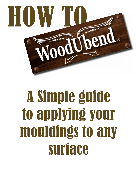

## A Simple guide to applying your mouldings to any surface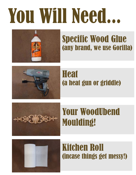## You Will Need...



### Specific Wood Glue (any brand, we use Gorilla)



#### **Heat** (a heat gun or griddle)



### Your WoodUbend Moulding!



#### Kitchen Roll (incase things get messy!)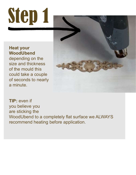## Step 1

#### **Heat your WoodUbend**

depending on the size and thickness of the mould this could take a couple of seconds to nearly a minute.



**TIP:** even if you believe you are sticking the WoodUbend to a completely flat surface we ALWAYS recommend heating before application.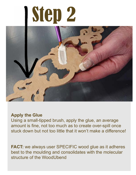## Step 2



#### **Apply the Glue**

Using a small-tipped brush, apply the glue, an average amount is fine, not too much as to create over-spill once stuck down but not too little that it won't make a difference!

FACT: we always user SPECIFIC wood glue as it adheres best to the moulding and consolidates with the molecular structure of the WoodUbend